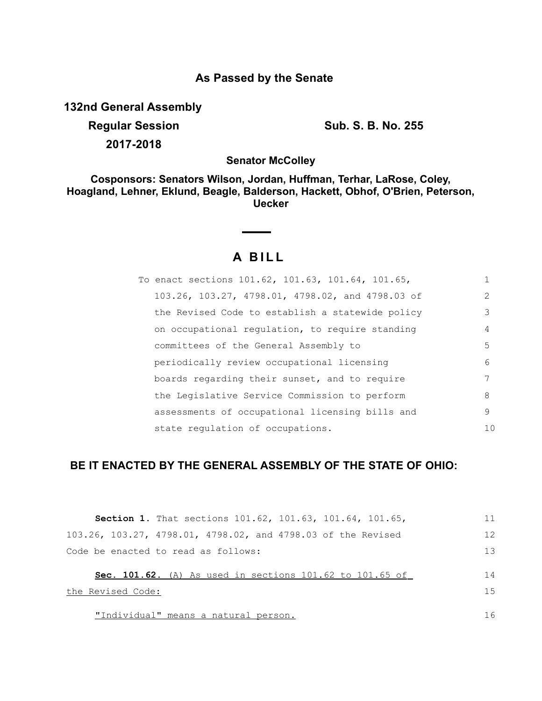## **As Passed by the Senate**

**132nd General Assembly**

**Regular Session Sub. S. B. No. 255 2017-2018**

**Senator McColley**

**Cosponsors: Senators Wilson, Jordan, Huffman, Terhar, LaRose, Coley, Hoagland, Lehner, Eklund, Beagle, Balderson, Hackett, Obhof, O'Brien, Peterson, Uecker**

## **A B I L L**

| To enact sections 101.62, 101.63, 101.64, 101.65, |                |
|---------------------------------------------------|----------------|
| 103.26, 103.27, 4798.01, 4798.02, and 4798.03 of  | $\mathcal{L}$  |
| the Revised Code to establish a statewide policy  | 3              |
| on occupational regulation, to require standing   | 4              |
| committees of the General Assembly to             | .5             |
| periodically review occupational licensing        | 6              |
| boards regarding their sunset, and to require     |                |
| the Legislative Service Commission to perform     | 8              |
| assessments of occupational licensing bills and   | 9              |
| state regulation of occupations.                  | 1 <sub>0</sub> |

## **BE IT ENACTED BY THE GENERAL ASSEMBLY OF THE STATE OF OHIO:**

| <b>Section 1.</b> That sections $101.62$ , $101.63$ , $101.64$ , $101.65$ , | 11  |
|-----------------------------------------------------------------------------|-----|
| 103.26, 103.27, 4798.01, 4798.02, and 4798.03 of the Revised                | 12  |
| Code be enacted to read as follows:                                         | 1.3 |
| <b>Sec. 101.62.</b> (A) As used in sections 101.62 to 101.65 of             | 14  |
| the Revised Code:                                                           | 1.5 |
| "Individual" means a natural person.                                        | 16  |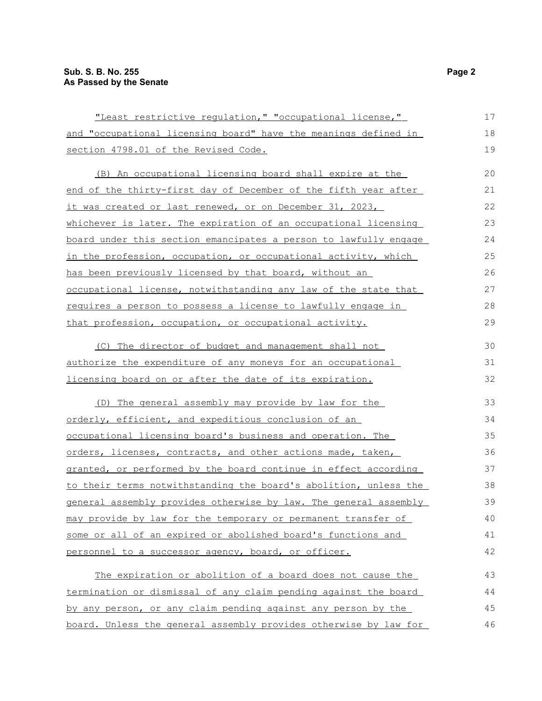| "Least restrictive regulation, " "occupational license,"          | 17 |
|-------------------------------------------------------------------|----|
| and "occupational licensing board" have the meanings defined in   | 18 |
| section 4798.01 of the Revised Code.                              | 19 |
| (B) An occupational licensing board shall expire at the           | 20 |
| end of the thirty-first day of December of the fifth year after   | 21 |
| <u>it was created or last renewed, or on December 31, 2023,</u>   | 22 |
| whichever is later. The expiration of an occupational licensing   | 23 |
| board under this section emancipates a person to lawfully engage  | 24 |
| in the profession, occupation, or occupational activity, which    | 25 |
| has been previously licensed by that board, without an            | 26 |
| occupational license, notwithstanding any law of the state that   | 27 |
| requires a person to possess a license to lawfully engage in      | 28 |
| that profession, occupation, or occupational activity.            | 29 |
| (C) The director of budget and management shall not               | 30 |
| authorize the expenditure of any moneys for an occupational       | 31 |
| <u>licensing board on or after the date of its expiration.</u>    | 32 |
| (D) The general assembly may provide by law for the               | 33 |
| orderly, efficient, and expeditious conclusion of an              | 34 |
| <u>occupational licensing board's business and operation. The</u> | 35 |
| orders, licenses, contracts, and other actions made, taken,       | 36 |
| granted, or performed by the board continue in effect according   | 37 |
| to their terms notwithstanding the board's abolition, unless the  | 38 |
| general assembly provides otherwise by law. The general assembly  | 39 |
| may provide by law for the temporary or permanent transfer of     | 40 |
| some or all of an expired or abolished board's functions and      | 41 |
| personnel to a successor agency, board, or officer.               | 42 |
| The expiration or abolition of a board does not cause the         | 43 |
| termination or dismissal of any claim pending against the board   | 44 |
| by any person, or any claim pending against any person by the     | 45 |
| board. Unless the general assembly provides otherwise by law for  | 46 |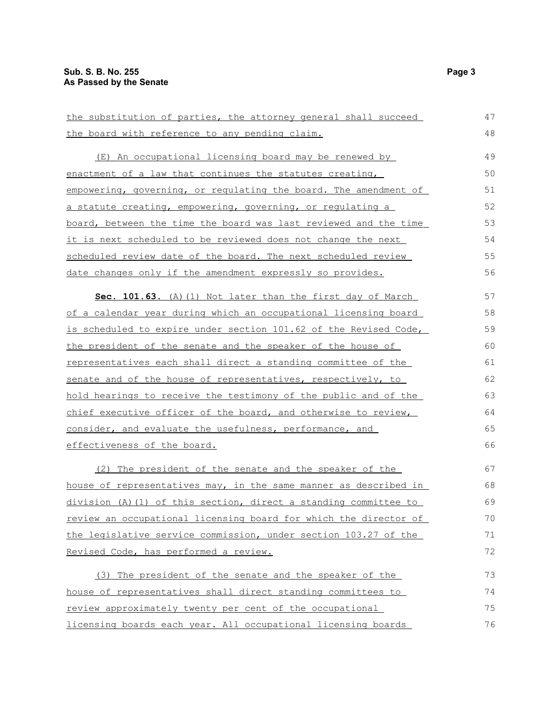| the substitution of parties, the attorney general shall succeed      | 47 |
|----------------------------------------------------------------------|----|
| the board with reference to any pending claim.                       | 48 |
| (E) An occupational licensing board may be renewed by                | 49 |
| enactment of a law that continues the statutes creating,             | 50 |
| empowering, governing, or regulating the board. The amendment of     | 51 |
| <u>a statute creating, empowering, governing, or regulating a</u>    | 52 |
| board, between the time the board was last reviewed and the time     | 53 |
| it is next scheduled to be reviewed does not change the next         | 54 |
| scheduled review date of the board. The next scheduled review        | 55 |
| <u>date changes only if the amendment expressly so provides.</u>     | 56 |
| Sec. 101.63. (A) (1) Not later than the first day of March           | 57 |
| of a calendar year during which an occupational licensing board      | 58 |
| is scheduled to expire under section 101.62 of the Revised Code,     | 59 |
| the president of the senate and the speaker of the house of          | 60 |
| <u>representatives each shall direct a standing committee of the</u> | 61 |
| senate and of the house of representatives, respectively, to         | 62 |
| hold hearings to receive the testimony of the public and of the      | 63 |
| chief executive officer of the board, and otherwise to review,       | 64 |
| consider, and evaluate the usefulness, performance, and              | 65 |
| effectiveness of the board.                                          | 66 |
| (2) The president of the senate and the speaker of the               | 67 |
| house of representatives may, in the same manner as described in     | 68 |
| division (A) $(1)$ of this section, direct a standing committee to   | 69 |
| review an occupational licensing board for which the director of     | 70 |
| the legislative service commission, under section 103.27 of the      | 71 |
| Revised Code, has performed a review.                                | 72 |
| (3) The president of the senate and the speaker of the               | 73 |
| house of representatives shall direct standing committees to         | 74 |
| review approximately twenty per cent of the occupational             | 75 |
| licensing boards each year. All occupational licensing boards        | 76 |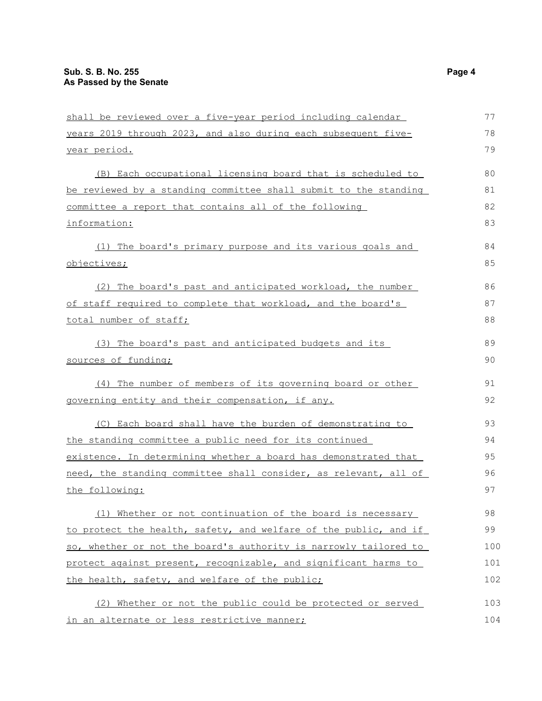| shall be reviewed over a five-year period including calendar     | 77  |
|------------------------------------------------------------------|-----|
| years 2019 through 2023, and also during each subsequent five-   | 78  |
| year period.                                                     | 79  |
| (B) Each occupational licensing board that is scheduled to       | 80  |
| be reviewed by a standing committee shall submit to the standing | 81  |
| committee a report that contains all of the following            | 82  |
| information:                                                     | 83  |
| (1) The board's primary purpose and its various goals and        | 84  |
| objectives;                                                      | 85  |
| (2) The board's past and anticipated workload, the number        | 86  |
| of staff required to complete that workload, and the board's     | 87  |
| total number of staff;                                           | 88  |
| (3) The board's past and anticipated budgets and its             | 89  |
| sources of funding;                                              | 90  |
| (4) The number of members of its governing board or other        | 91  |
| governing entity and their compensation, if any.                 | 92  |
| (C) Each board shall have the burden of demonstrating to         | 93  |
| the standing committee a public need for its continued           | 94  |
| existence. In determining whether a board has demonstrated that  | 95  |
| need, the standing committee shall consider, as relevant, all of | 96  |
| the following:                                                   | 97  |
| (1) Whether or not continuation of the board is necessary        | 98  |
| to protect the health, safety, and welfare of the public, and if | 99  |
| so, whether or not the board's authority is narrowly tailored to | 100 |
| protect against present, recognizable, and significant harms to  | 101 |
| the health, safety, and welfare of the public;                   | 102 |
| (2) Whether or not the public could be protected or served       | 103 |
| in an alternate or less restrictive manner;                      | 104 |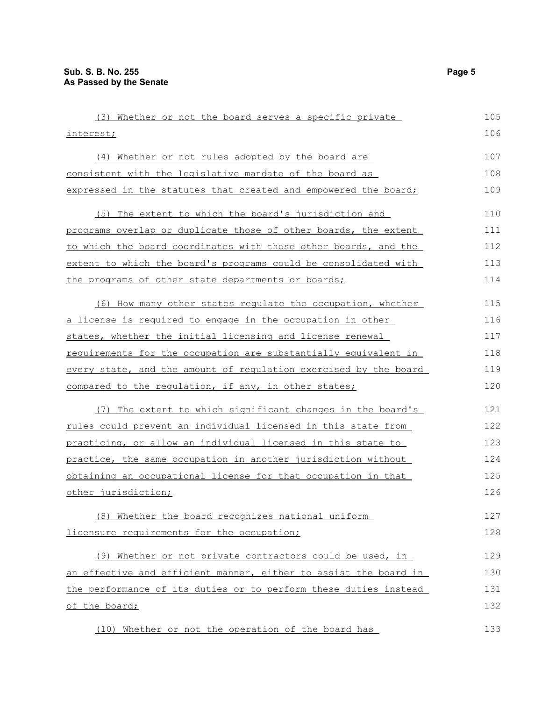| (3) Whether or not the board serves a specific private           | 105 |
|------------------------------------------------------------------|-----|
| interest;                                                        | 106 |
| (4) Whether or not rules adopted by the board are                | 107 |
| consistent with the legislative mandate of the board as          | 108 |
| expressed in the statutes that created and empowered the board;  | 109 |
| (5) The extent to which the board's jurisdiction and             | 110 |
| programs overlap or duplicate those of other boards, the extent  | 111 |
| to which the board coordinates with those other boards, and the  | 112 |
| extent to which the board's programs could be consolidated with  | 113 |
| the programs of other state departments or boards;               | 114 |
| (6) How many other states regulate the occupation, whether       | 115 |
| a license is required to engage in the occupation in other       | 116 |
| states, whether the initial licensing and license renewal        | 117 |
| requirements for the occupation are substantially equivalent in  | 118 |
| every state, and the amount of regulation exercised by the board | 119 |
| compared to the requlation, if any, in other states;             | 120 |
| (7) The extent to which significant changes in the board's       | 121 |
| rules could prevent an individual licensed in this state from    | 122 |
| practicing, or allow an individual licensed in this state to     | 123 |
| practice, the same occupation in another jurisdiction without    | 124 |
| obtaining an occupational license for that occupation in that    | 125 |
| other jurisdiction;                                              | 126 |
| (8) Whether the board recognizes national uniform                | 127 |
| licensure requirements for the occupation;                       | 128 |
| (9) Whether or not private contractors could be used, in         | 129 |
| an effective and efficient manner, either to assist the board in | 130 |
| the performance of its duties or to perform these duties instead | 131 |
| of the board;                                                    | 132 |
| (10) Whether or not the operation of the board has               | 133 |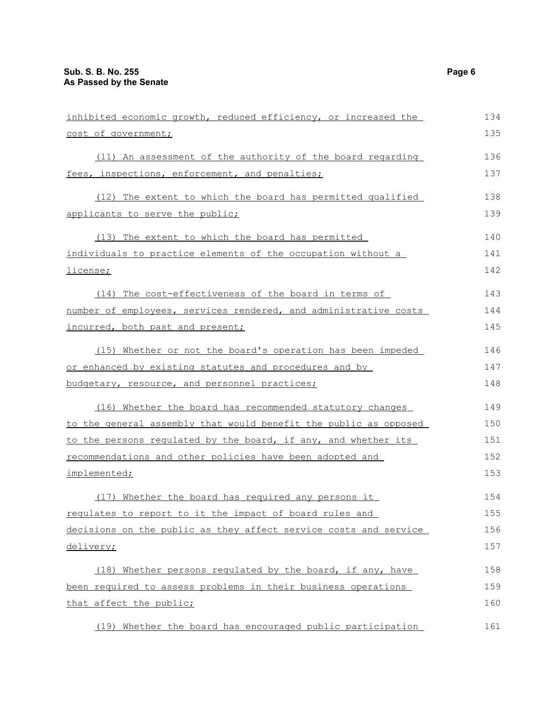| inhibited economic growth, reduced efficiency, or increased the  | 134 |
|------------------------------------------------------------------|-----|
| cost of government;                                              | 135 |
| (11) An assessment of the authority of the board regarding       | 136 |
| fees, inspections, enforcement, and penalties;                   | 137 |
| (12) The extent to which the board has permitted qualified       | 138 |
| applicants to serve the public;                                  | 139 |
| (13) The extent to which the board has permitted                 | 140 |
| individuals to practice elements of the occupation without a     | 141 |
| license;                                                         | 142 |
| (14) The cost-effectiveness of the board in terms of             | 143 |
| number of employees, services rendered, and administrative costs | 144 |
| incurred, both past and present;                                 | 145 |
| (15) Whether or not the board's operation has been impeded       | 146 |
| or enhanced by existing statutes and procedures and by           | 147 |
| budgetary, resource, and personnel practices;                    | 148 |
| (16) Whether the board has recommended statutory changes         | 149 |
| to the general assembly that would benefit the public as opposed | 150 |
| to the persons regulated by the board, if any, and whether its   | 151 |
| recommendations and other policies have been adopted and         | 152 |
| implemented;                                                     | 153 |
| (17) Whether the board has required any persons it               | 154 |
| requlates to report to it the impact of board rules and          | 155 |
| decisions on the public as they affect service costs and service | 156 |
| delivery;                                                        | 157 |
| (18) Whether persons regulated by the board, if any, have        | 158 |
| been required to assess problems in their business operations    | 159 |
| that affect the public;                                          | 160 |
| (19) Whether the board has encouraged public participation       | 161 |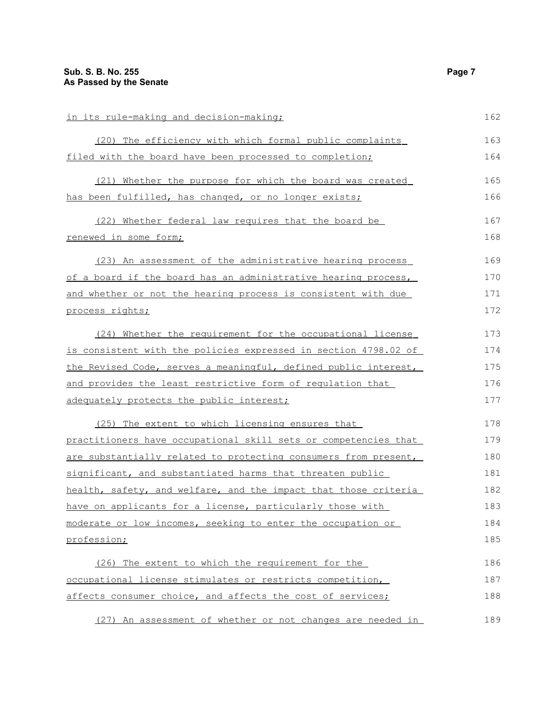| in its rule-making and decision-making;                         | 162 |
|-----------------------------------------------------------------|-----|
| (20) The efficiency with which formal public complaints         | 163 |
| filed with the board have been processed to completion;         | 164 |
| (21) Whether the purpose for which the board was created        | 165 |
| has been fulfilled, has changed, or no longer exists;           | 166 |
| (22) Whether federal law requires that the board be             | 167 |
| <u>renewed in some form;</u>                                    | 168 |
| (23) An assessment of the administrative hearing process        | 169 |
| of a board if the board has an administrative hearing process,  | 170 |
| and whether or not the hearing process is consistent with due   | 171 |
| process rights;                                                 | 172 |
| Whether the requirement for the occupational license<br>(24)    | 173 |
| is consistent with the policies expressed in section 4798.02 of | 174 |
| the Revised Code, serves a meaningful, defined public interest, | 175 |
| and provides the least restrictive form of requlation that      | 176 |
| adequately protects the public interest;                        | 177 |
| (25) The extent to which licensing ensures that                 | 178 |
| practitioners have occupational skill sets or competencies that | 179 |
| are substantially related to protecting consumers from present, | 180 |
| significant, and substantiated harms that threaten public       | 181 |
| health, safety, and welfare, and the impact that those criteria | 182 |
| have on applicants for a license, particularly those with       | 183 |
| moderate or low incomes, seeking to enter the occupation or     | 184 |
| profession;                                                     | 185 |
| (26) The extent to which the requirement for the                | 186 |
| occupational license stimulates or restricts competition,       | 187 |
| affects consumer choice, and affects the cost of services;      | 188 |
| (27) An assessment of whether or not changes are needed in      | 189 |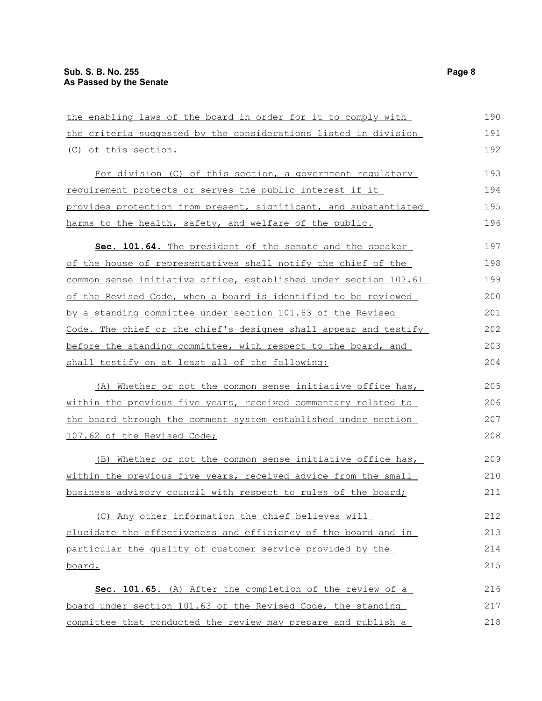| the enabling laws of the board in order for it to comply with    | 190 |
|------------------------------------------------------------------|-----|
| the criteria suggested by the considerations listed in division  | 191 |
| (C) of this section.                                             | 192 |
| For division (C) of this section, a government regulatory        | 193 |
| requirement protects or serves the public interest if it         | 194 |
| provides protection from present, significant, and substantiated | 195 |
| harms to the health, safety, and welfare of the public.          | 196 |
| Sec. 101.64. The president of the senate and the speaker         | 197 |
| of the house of representatives shall notify the chief of the    | 198 |
| common sense initiative office, established under section 107.61 | 199 |
| of the Revised Code, when a board is identified to be reviewed   | 200 |
| by a standing committee under section 101.63 of the Revised      | 201 |
| Code. The chief or the chief's designee shall appear and testify | 202 |
| before the standing committee, with respect to the board, and    | 203 |
| shall testify on at least all of the following:                  | 204 |
| (A) Whether or not the common sense initiative office has,       | 205 |
| within the previous five years, received commentary related to   | 206 |
| the board through the comment system established under section   | 207 |
| 107.62 of the Revised Code;                                      | 208 |
| (B) Whether or not the common sense initiative office has,       | 209 |
| within the previous five years, received advice from the small   | 210 |
| business advisory council with respect to rules of the board;    | 211 |
| (C) Any other information the chief believes will                | 212 |
| elucidate the effectiveness and efficiency of the board and in   | 213 |
| particular the quality of customer service provided by the       | 214 |
| board.                                                           | 215 |
| Sec. 101.65. (A) After the completion of the review of a         | 216 |
| board under section 101.63 of the Revised Code, the standing     | 217 |
| committee that conducted the review may prepare and publish a    | 218 |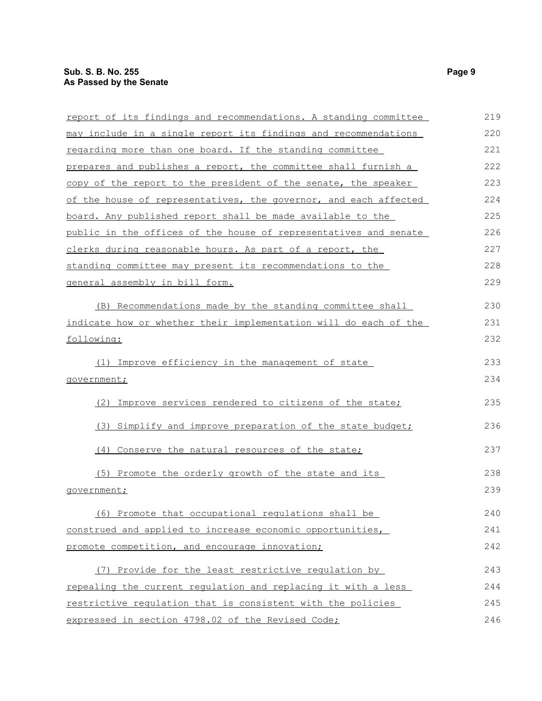| report of its findings and recommendations. A standing committee | 219 |
|------------------------------------------------------------------|-----|
| may include in a single report its findings and recommendations  | 220 |
| regarding more than one board. If the standing committee         | 221 |
| prepares and publishes a report, the committee shall furnish a   | 222 |
| copy of the report to the president of the senate, the speaker   | 223 |
| of the house of representatives, the governor, and each affected | 224 |
| board. Any published report shall be made available to the       | 225 |
| public in the offices of the house of representatives and senate | 226 |
| clerks during reasonable hours. As part of a report, the         | 227 |
| standing committee may present its recommendations to the        | 228 |
| general assembly in bill form.                                   | 229 |
| (B) Recommendations made by the standing committee shall         | 230 |
| indicate how or whether their implementation will do each of the | 231 |
| following:                                                       | 232 |
| (1) Improve efficiency in the management of state                | 233 |
| government;                                                      | 234 |
| (2) Improve services rendered to citizens of the state;          | 235 |
| (3) Simplify and improve preparation of the state budget;        | 236 |
| (4) Conserve the natural resources of the state;                 | 237 |
| (5) Promote the orderly growth of the state and its              | 238 |
| qovernment;                                                      | 239 |
| (6) Promote that occupational regulations shall be               | 240 |
| construed and applied to increase economic opportunities,        | 241 |
| promote competition, and encourage innovation;                   | 242 |
| (7) Provide for the least restrictive regulation by              | 243 |
| repealing the current regulation and replacing it with a less    | 244 |
| restrictive requlation that is consistent with the policies      | 245 |
| expressed in section 4798.02 of the Revised Code;                | 246 |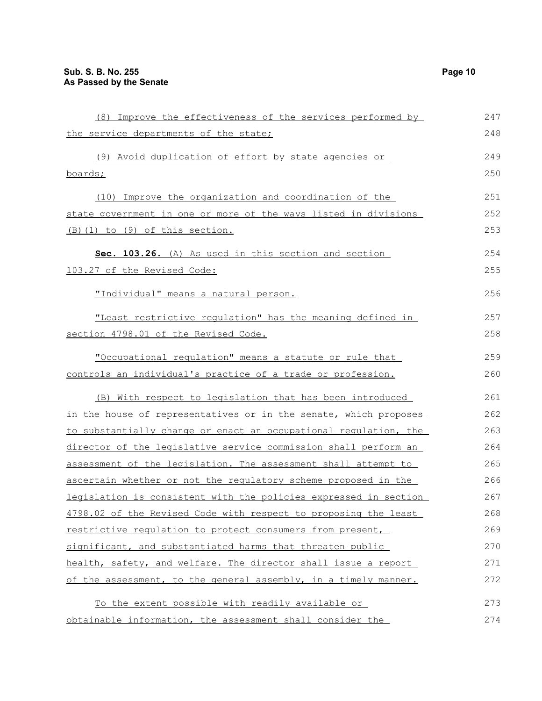| (8) Improve the effectiveness of the services performed by               | 247  |
|--------------------------------------------------------------------------|------|
| the service departments of the state;                                    | 248  |
| (9) Avoid duplication of effort by state agencies or                     | 249  |
| boards;                                                                  | 250  |
| (10) Improve the organization and coordination of the                    | 251  |
| state government in one or more of the ways listed in divisions          | 252  |
| (B)(1) to (9) of this section.                                           | 253  |
| Sec. 103.26. (A) As used in this section and section                     | 254  |
| 103.27 of the Revised Code:                                              | 255  |
| "Individual" means a natural person.                                     | 256  |
| "Least restrictive regulation" has the meaning defined in                | 257  |
| section 4798.01 of the Revised Code.                                     | 258  |
| "Occupational regulation" means a statute or rule that                   | 259  |
| controls an individual's practice of a trade or profession.              | 260  |
| (B) With respect to legislation that has been introduced                 | 261  |
| in the house of representatives or in the senate, which proposes         | 262  |
| to substantially change or enact an occupational regulation, the         | 263  |
| director of the legislative service commission shall perform an          | 264  |
| assessment of the legislation. The assessment shall attempt to           | 265  |
| ascertain whether or not the regulatory scheme proposed in the           | 266  |
| $longialation$ , $g$ cancierate $y$ the religion currenced in continuous | 0.67 |

assessment of ascertain wheth legislation is consistent with the policies expressed in section 4798.02 of the Revised Code with respect to proposing the least restrictive regulation to protect consumers from present, significant, and substantiated harms that threaten public health, safety, and welfare. The director shall issue a report of the assessment, to the general assembly, in a timely manner. 267 268 269 270 271 272

To the extent possible with readily available or obtainable information, the assessment shall consider the 273 274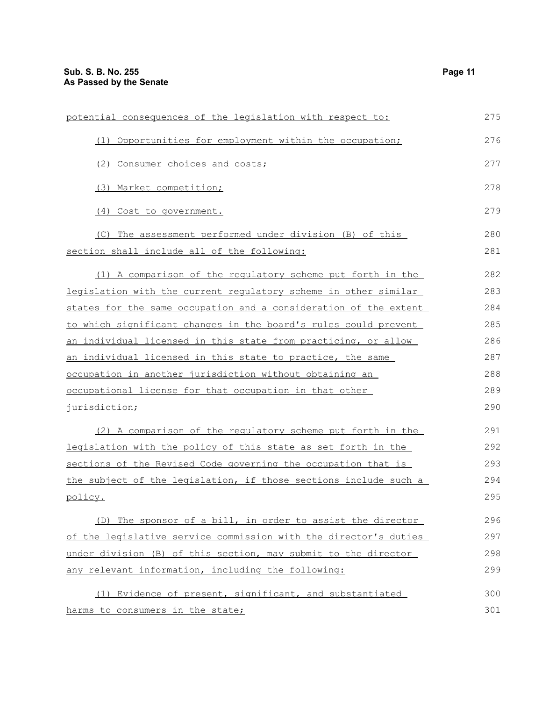| potential consequences of the legislation with respect to:       | 275 |
|------------------------------------------------------------------|-----|
| (1) Opportunities for employment within the occupation;          | 276 |
| (2) Consumer choices and costs;                                  | 277 |
| (3) Market competition;                                          | 278 |
| (4) Cost to government.                                          | 279 |
| (C) The assessment performed under division (B) of this          | 280 |
| section shall include all of the following:                      | 281 |
| (1) A comparison of the regulatory scheme put forth in the       | 282 |
| legislation with the current regulatory scheme in other similar  | 283 |
| states for the same occupation and a consideration of the extent | 284 |
| to which significant changes in the board's rules could prevent  | 285 |
| an individual licensed in this state from practicing, or allow   | 286 |
| an individual licensed in this state to practice, the same       | 287 |
| occupation in another jurisdiction without obtaining an          | 288 |
| occupational license for that occupation in that other           | 289 |
| jurisdiction;                                                    | 290 |

 (2) A comparison of the regulatory scheme put forth in the legislation with the policy of this state as set forth in the sections of the Revised Code governing the occupation that is the subject of the legislation, if those sections include such a policy. 291 292 293 294 295

(D) The sponsor of a bill, in order to assist the director of the legislative service commission with the director's duties under division (B) of this section, may submit to the director any relevant information, including the following: 296 297 298 299

(1) Evidence of present, significant, and substantiated harms to consumers in the state; 300 301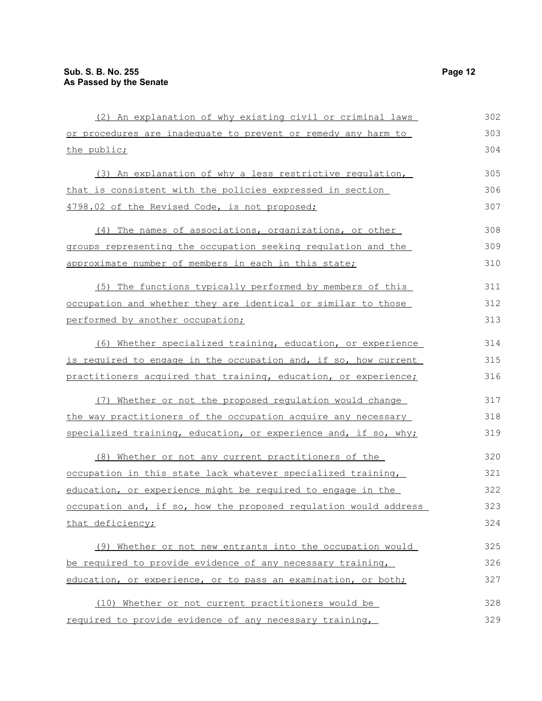| (2) An explanation of why existing civil or criminal laws        | 302 |
|------------------------------------------------------------------|-----|
| or procedures are inadequate to prevent or remedy any harm to    | 303 |
| the public;                                                      | 304 |
| (3) An explanation of why a less restrictive regulation,         | 305 |
| that is consistent with the policies expressed in section        | 306 |
| 4798.02 of the Revised Code, is not proposed;                    | 307 |
| (4) The names of associations, organizations, or other           | 308 |
| groups representing the occupation seeking regulation and the    | 309 |
| approximate number of members in each in this state;             | 310 |
| (5) The functions typically performed by members of this         | 311 |
| occupation and whether they are identical or similar to those    | 312 |
| performed by another occupation;                                 | 313 |
| (6) Whether specialized training, education, or experience       | 314 |
| is required to engage in the occupation and, if so, how current  | 315 |
| practitioners acquired that training, education, or experience;  | 316 |
| (7) Whether or not the proposed regulation would change          | 317 |
| the way practitioners of the occupation acquire any necessary    | 318 |
| specialized training, education, or experience and, if so, why;  | 319 |
| (8) Whether or not any current practitioners of the              | 320 |
| occupation in this state lack whatever specialized training,     | 321 |
| education, or experience might be required to engage in the      | 322 |
| occupation and, if so, how the proposed regulation would address | 323 |
| that deficiency;                                                 | 324 |
| (9) Whether or not new entrants into the occupation would        | 325 |
| be required to provide evidence of any necessary training,       | 326 |
| education, or experience, or to pass an examination, or both;    | 327 |
| (10) Whether or not current practitioners would be               | 328 |
| required to provide evidence of any necessary training,          | 329 |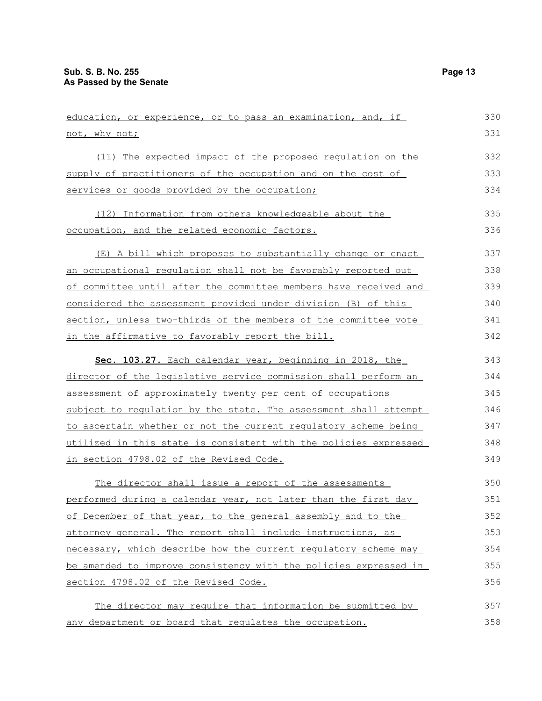| education, or experience, or to pass an examination, and, if     | 330 |
|------------------------------------------------------------------|-----|
| not, why not;                                                    | 331 |
| (11) The expected impact of the proposed regulation on the       | 332 |
| supply of practitioners of the occupation and on the cost of     | 333 |
| services or goods provided by the occupation;                    | 334 |
| (12) Information from others knowledgeable about the             | 335 |
| occupation, and the related economic factors.                    | 336 |
| (E) A bill which proposes to substantially change or enact       | 337 |
| an occupational regulation shall not be favorably reported out   | 338 |
| of committee until after the committee members have received and | 339 |
| considered the assessment provided under division (B) of this    | 340 |
| section, unless two-thirds of the members of the committee vote  | 341 |
| in the affirmative to favorably report the bill.                 | 342 |
| Sec. 103.27. Each calendar year, beginning in 2018, the          | 343 |
| director of the legislative service commission shall perform an  | 344 |
| assessment of approximately twenty per cent of occupations       | 345 |
| subject to regulation by the state. The assessment shall attempt | 346 |
| to ascertain whether or not the current requlatory scheme being  | 347 |
| utilized in this state is consistent with the policies expressed | 348 |
| in section 4798.02 of the Revised Code.                          | 349 |
| The director shall issue a report of the assessments             | 350 |
| performed during a calendar year, not later than the first day   | 351 |
| of December of that year, to the general assembly and to the     | 352 |
| attorney general. The report shall include instructions, as      | 353 |
| necessary, which describe how the current regulatory scheme may  | 354 |
| be amended to improve consistency with the policies expressed in | 355 |
| section 4798.02 of the Revised Code.                             | 356 |
| The director may require that information be submitted by        | 357 |
| any department or board that regulates the occupation.           | 358 |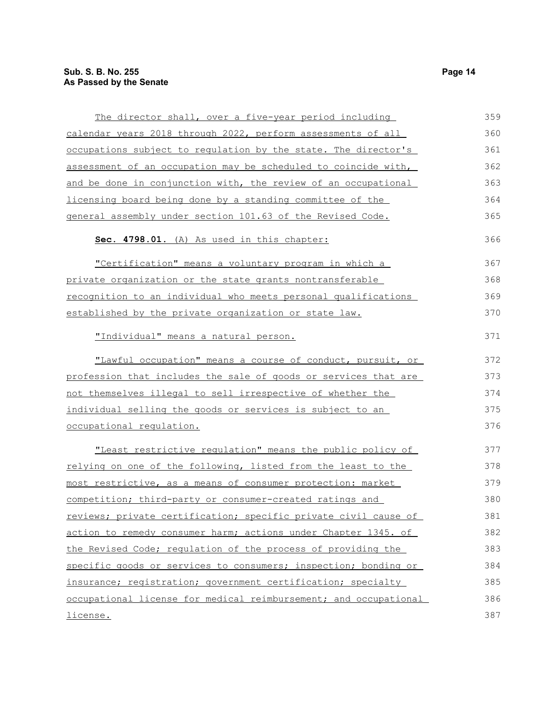| The director shall, over a five-year period including            | 359 |
|------------------------------------------------------------------|-----|
| calendar years 2018 through 2022, perform assessments of all     | 360 |
| occupations subject to regulation by the state. The director's   | 361 |
| assessment of an occupation may be scheduled to coincide with,   | 362 |
| and be done in conjunction with, the review of an occupational   | 363 |
| licensing board being done by a standing committee of the        | 364 |
| general assembly under section 101.63 of the Revised Code.       | 365 |
| Sec. 4798.01. (A) As used in this chapter:                       | 366 |
| "Certification" means a voluntary program in which a             | 367 |
| private organization or the state grants nontransferable         | 368 |
| recognition to an individual who meets personal qualifications   | 369 |
| established by the private organization or state law.            | 370 |
| "Individual" means a natural person.                             | 371 |
| "Lawful occupation" means a course of conduct, pursuit, or       | 372 |
| profession that includes the sale of goods or services that are  | 373 |
| not themselves illegal to sell irrespective of whether the       | 374 |
| individual selling the goods or services is subject to an        | 375 |
| occupational requlation.                                         | 376 |
| "Least restrictive regulation" means the public policy of        | 377 |
| relying on one of the following, listed from the least to the    | 378 |
| most restrictive, as a means of consumer protection: market      | 379 |
| <u>competition; third-party or consumer-created ratings and</u>  | 380 |
| reviews; private certification; specific private civil cause of  | 381 |
| action to remedy consumer harm; actions under Chapter 1345. of   | 382 |
| the Revised Code; regulation of the process of providing the     | 383 |
| specific goods or services to consumers; inspection; bonding or  | 384 |
| insurance; registration; government certification; specialty     | 385 |
| occupational license for medical reimbursement; and occupational | 386 |
| license.                                                         | 387 |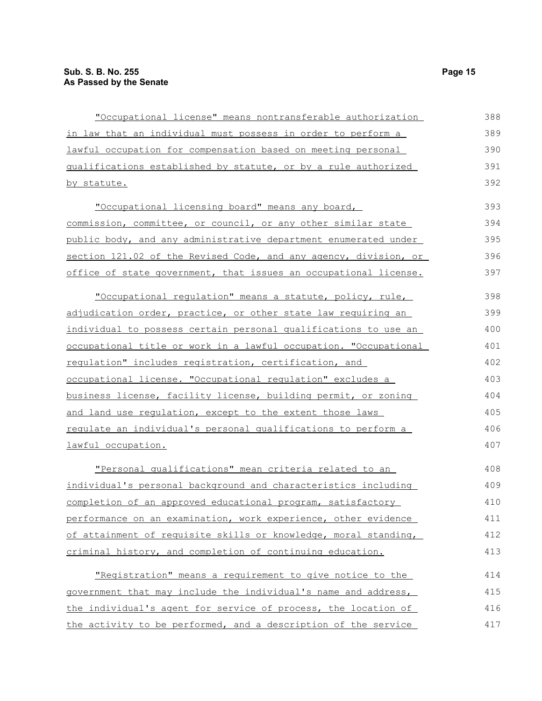| "Occupational license" means nontransferable authorization          | 388 |
|---------------------------------------------------------------------|-----|
| in law that an individual must possess in order to perform a        | 389 |
| <u>lawful occupation for compensation based on meeting personal</u> | 390 |
| qualifications established by statute, or by a rule authorized      | 391 |
| <u>by statute.</u>                                                  | 392 |
| "Occupational licensing board" means any board,                     | 393 |
| commission, committee, or council, or any other similar state       | 394 |
| public body, and any administrative department enumerated under     | 395 |
| section 121.02 of the Revised Code, and any agency, division, or    | 396 |
| office of state government, that issues an occupational license.    | 397 |
| "Occupational regulation" means a statute, policy, rule,            | 398 |
| adjudication order, practice, or other state law requiring an       | 399 |
| individual to possess certain personal qualifications to use an     | 400 |
| occupational title or work in a lawful occupation. "Occupational    | 401 |
| requlation" includes registration, certification, and               | 402 |
| occupational license. "Occupational requlation" excludes a          | 403 |
| business license, facility license, building permit, or zoning      | 404 |
| and land use requlation, except to the extent those laws            | 405 |
| requlate an individual's personal qualifications to perform a       | 406 |
| lawful occupation.                                                  | 407 |
| "Personal qualifications" mean criteria related to an               | 408 |
| individual's personal background and characteristics including      | 409 |
| completion of an approved educational program, satisfactory         | 410 |
| performance on an examination, work experience, other evidence      | 411 |
| of attainment of requisite skills or knowledge, moral standing,     | 412 |
| criminal history, and completion of continuing education.           | 413 |
| "Registration" means a requirement to give notice to the            | 414 |
| government that may include the individual's name and address,      | 415 |
| the individual's agent for service of process, the location of      | 416 |
| the activity to be performed, and a description of the service      | 417 |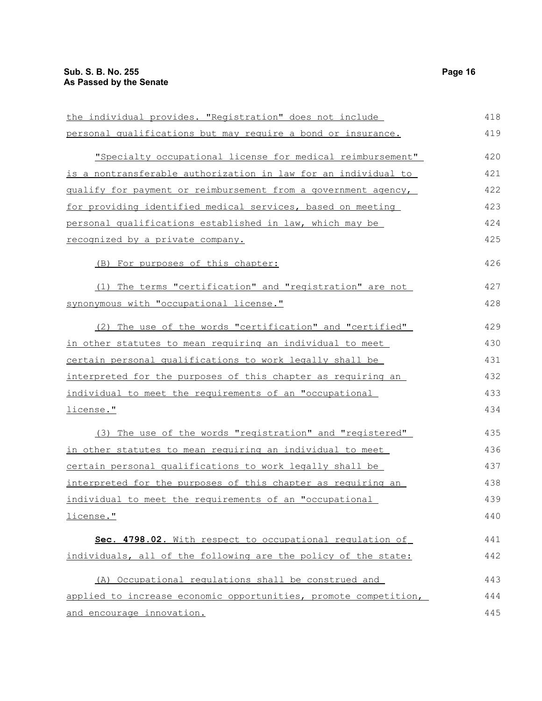| the individual provides. "Registration" does not include               | 418 |
|------------------------------------------------------------------------|-----|
| personal qualifications but may require a bond or insurance.           | 419 |
| "Specialty occupational license for medical reimbursement"             | 420 |
| <u>is a nontransferable authorization in law for an individual to </u> | 421 |
| qualify for payment or reimbursement from a government agency,         | 422 |
| for providing identified medical services, based on meeting            | 423 |
| personal qualifications established in law, which may be               | 424 |
| recognized by a private company.                                       | 425 |
| (B) For purposes of this chapter:                                      | 426 |
| (1) The terms "certification" and "registration" are not               | 427 |
| synonymous with "occupational license."                                | 428 |
| (2) The use of the words "certification" and "certified"               | 429 |
| <u>in other statutes to mean requiring an individual to meet</u>       | 430 |
| certain personal qualifications to work legally shall be               | 431 |
| <u>interpreted for the purposes of this chapter as requiring an</u>    | 432 |
| individual to meet the requirements of an "occupational                | 433 |
| <u>license."</u>                                                       | 434 |
| (3) The use of the words "registration" and "registered"               | 435 |
| in other statutes to mean requiring an individual to meet              | 436 |
| certain personal qualifications to work legally shall be               | 437 |
| interpreted for the purposes of this chapter as requiring an           | 438 |
| individual to meet the requirements of an "occupational                | 439 |
| license."                                                              | 440 |
| Sec. 4798.02. With respect to occupational regulation of               | 441 |
| individuals, all of the following are the policy of the state:         | 442 |
| (A) Occupational requlations shall be construed and                    | 443 |
| applied to increase economic opportunities, promote competition,       | 444 |
| and encourage innovation.                                              | 445 |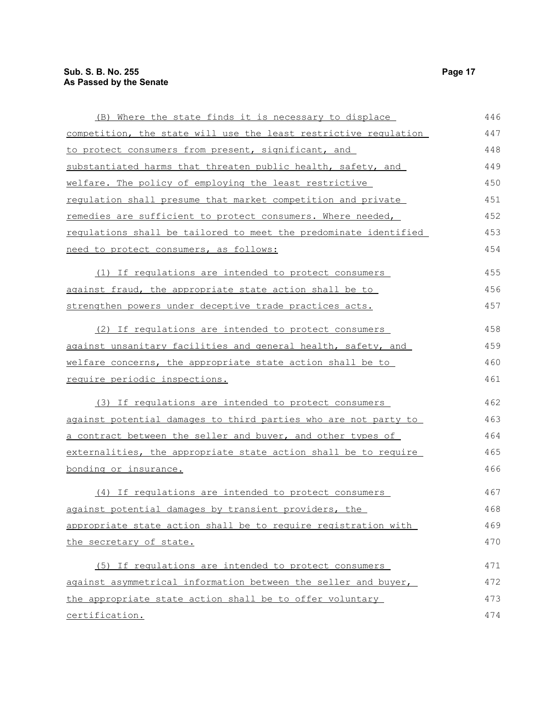| (B) Where the state finds it is necessary to displace            | 446 |
|------------------------------------------------------------------|-----|
| competition, the state will use the least restrictive requlation | 447 |
| to protect consumers from present, significant, and              | 448 |
| substantiated harms that threaten public health, safety, and     | 449 |
| welfare. The policy of employing the least restrictive           | 450 |
| regulation shall presume that market competition and private     | 451 |
| remedies are sufficient to protect consumers. Where needed,      | 452 |
| requlations shall be tailored to meet the predominate identified | 453 |
| need to protect consumers, as follows:                           | 454 |
| (1) If regulations are intended to protect consumers             | 455 |
| against fraud, the appropriate state action shall be to          | 456 |
| strengthen powers under deceptive trade practices acts.          | 457 |
| (2) If regulations are intended to protect consumers             | 458 |
| against unsanitary facilities and general health, safety, and    | 459 |
| welfare concerns, the appropriate state action shall be to       | 460 |
| require periodic inspections.                                    | 461 |
| (3) If regulations are intended to protect consumers             | 462 |
| against potential damages to third parties who are not party to  | 463 |
| a contract between the seller and buyer, and other types of      | 464 |
| externalities, the appropriate state action shall be to require  | 465 |
| bonding or insurance.                                            | 466 |
| (4) If regulations are intended to protect consumers             | 467 |
| against potential damages by transient providers, the            | 468 |
| appropriate state action shall be to require registration with   | 469 |
| the secretary of state.                                          | 470 |
| (5) If regulations are intended to protect consumers             | 471 |
| against asymmetrical information between the seller and buyer,   | 472 |
| the appropriate state action shall be to offer voluntary         | 473 |
| certification.                                                   | 474 |